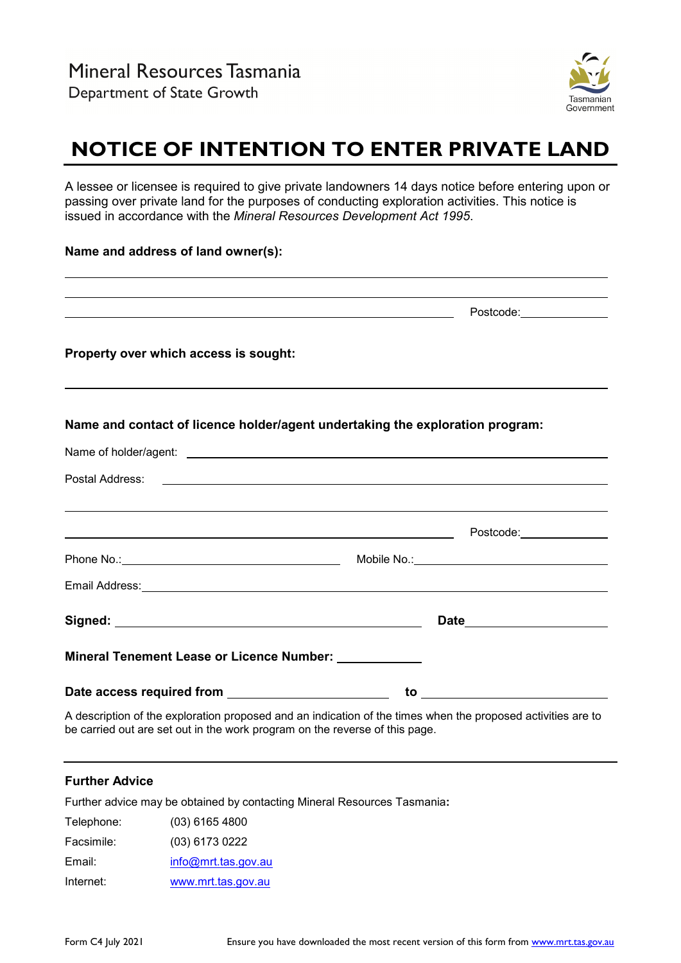

## **NOTICE OF INTENTION TO ENTER PRIVATE LAND**

A lessee or licensee is required to give private landowners 14 days notice before entering upon or passing over private land for the purposes of conducting exploration activities. This notice is issued in accordance with the *Mineral Resources Development Act 1995*.

## **Name and address of land owner(s):**

|                                                        | Postcode: 2000                                                                                                                                                                                                                       |
|--------------------------------------------------------|--------------------------------------------------------------------------------------------------------------------------------------------------------------------------------------------------------------------------------------|
| Property over which access is sought:                  |                                                                                                                                                                                                                                      |
|                                                        | Name and contact of licence holder/agent undertaking the exploration program:                                                                                                                                                        |
|                                                        | Name of holder/agent: <u>example and a series of the series of the series of the series of the series of the series of the series of the series of the series of the series of the series of the series of the series of the ser</u> |
|                                                        |                                                                                                                                                                                                                                      |
|                                                        | <u> 1999 - Johann Stoff, amerikansk politiker (d. 1989)</u>                                                                                                                                                                          |
|                                                        |                                                                                                                                                                                                                                      |
|                                                        |                                                                                                                                                                                                                                      |
|                                                        |                                                                                                                                                                                                                                      |
|                                                        |                                                                                                                                                                                                                                      |
| Mineral Tenement Lease or Licence Number: ____________ |                                                                                                                                                                                                                                      |

A description of the exploration proposed and an indication of the times when the proposed activities are to be carried out are set out in the work program on the reverse of this page.

## **Further Advice**

Further advice may be obtained by contacting Mineral Resources Tasmania**:**

Telephone: (03) 6165 4800 Facsimile: (03) 6173 0222 Email: [info@mrt.tas.gov.au](mailto:info@mrt.tas.gov.au) Internet: [www.mrt.tas.gov.au](http://www.mrt.tas.gov.au/)